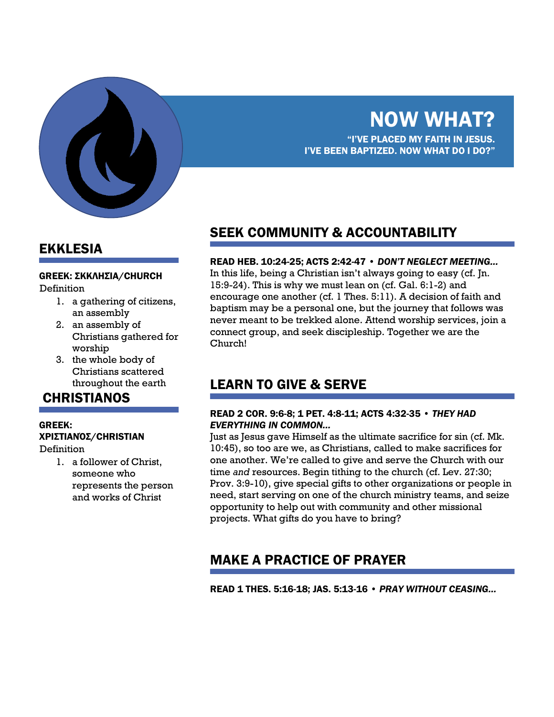

## EKKLESIA

#### GREEK: ΣΚΚΛΗΣΊΑ/CHURCH

Definition

- 1. a gathering of citizens, an assembly
- 2. an assembly of Christians gathered for worship
- 3. the whole body of Christians scattered throughout the earth

### **CHRISTIANOS**

#### GREEK: ΧΡΙΣΤΙΑΝΌΣ/CHRISTIAN

Definition

1. a follower of Christ, someone who represents the person and works of Christ

## SEEK COMMUNITY & ACCOUNTABILITY

#### READ HEB. 10:24-25; ACTS 2:42-47 • *DON'T NEGLECT MEETING…*

In this life, being a Christian isn't always going to easy (cf. Jn. 15:9-24). This is why we must lean on (cf. Gal. 6:1-2) and encourage one another (cf. 1 Thes. 5:11). A decision of faith and baptism may be a personal one, but the journey that follows was never meant to be trekked alone. Attend worship services, join a connect group, and seek discipleship. Together we are the Church!

## LEARN TO GIVE & SERVE

#### READ 2 COR. 9:6-8; 1 PET. 4:8-11; ACTS 4:32-35 • *THEY HAD EVERYTHING IN COMMON…*

Just as Jesus gave Himself as the ultimate sacrifice for sin (cf. Mk. 10:45), so too are we, as Christians, called to make sacrifices for one another. We're called to give and serve the Church with our time *and* resources. Begin tithing to the church (cf. Lev. 27:30; Prov. 3:9-10), give special gifts to other organizations or people in need, start serving on one of the church ministry teams, and seize opportunity to help out with community and other missional projects. What gifts do you have to bring?

## MAKE A PRACTICE OF PRAYER

READ 1 THES. 5:16-18; JAS. 5:13-16 • *PRAY WITHOUT CEASING…*

# NOW WHAT?

"I'VE PLACED MY FAITH IN JESUS. I'VE BEEN BAPTIZED. NOW WHAT DO I DO?"